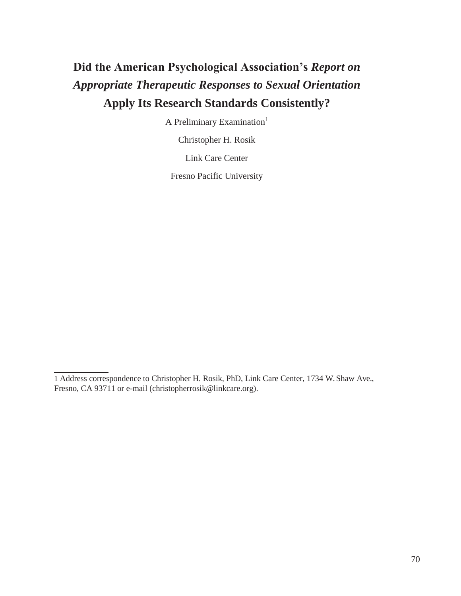# **Did the American Psychological Association's** *Report on Appropriate Therapeutic Responses to Sexual Orientation*  **Apply Its Research Standards Consistently?**

A Preliminary Examination<sup>1</sup>

Christopher H. Rosik

Link Care Center

Fresno Pacific University

<sup>1</sup> Address correspondence to Christopher H. Rosik, PhD, Link Care Center, 1734 W. Shaw Ave., Fresno, CA 93711 or e-mail (christopherrosik@linkcare.org).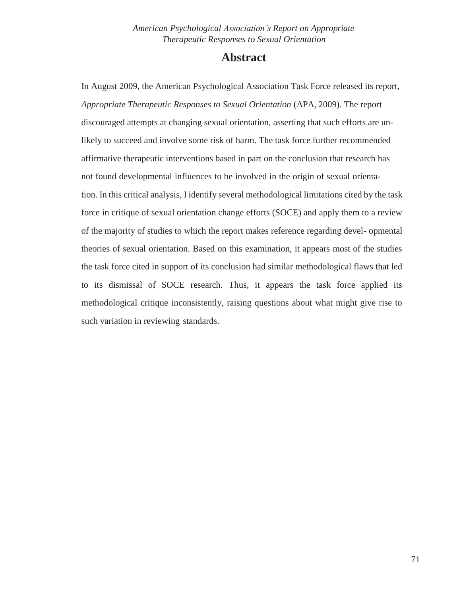### **Abstract**

In August 2009, the American Psychological Association Task Force released its report, *Appropriate Therapeutic Responses to Sexual Orientation* (APA, 2009). The report discouraged attempts at changing sexual orientation, asserting that such efforts are unlikely to succeed and involve some risk of harm. The task force further recommended affirmative therapeutic interventions based in part on the conclusion that research has not found developmental influences to be involved in the origin of sexual orientation. In this critical analysis, I identify several methodological limitations cited by the task force in critique of sexual orientation change efforts (SOCE) and apply them to a review of the majority of studies to which the report makes reference regarding devel- opmental theories of sexual orientation. Based on this examination, it appears most of the studies the task force cited in support of its conclusion had similar methodological flaws that led to its dismissal of SOCE research. Thus, it appears the task force applied its methodological critique inconsistently, raising questions about what might give rise to such variation in reviewing standards.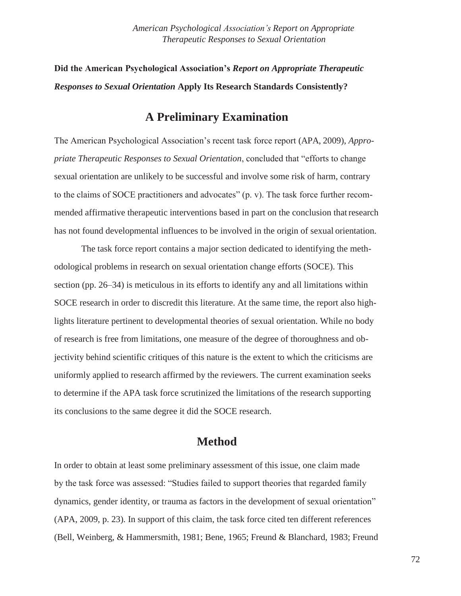**Did the American Psychological Association's** *Report on Appropriate Therapeutic Responses to Sexual Orientation* **Apply Its Research Standards Consistently?**

# **A Preliminary Examination**

The American Psychological Association's recent task force report (APA, 2009), *Appropriate Therapeutic Responses to Sexual Orientation*, concluded that "efforts to change sexual orientation are unlikely to be successful and involve some risk of harm, contrary to the claims of SOCE practitioners and advocates" (p. v). The task force further recommended affirmative therapeutic interventions based in part on the conclusion thatresearch has not found developmental influences to be involved in the origin of sexual orientation.

The task force report contains a major section dedicated to identifying the methodological problems in research on sexual orientation change efforts (SOCE). This section (pp. 26–34) is meticulous in its efforts to identify any and all limitations within SOCE research in order to discredit this literature. At the same time, the report also highlights literature pertinent to developmental theories of sexual orientation. While no body of research is free from limitations, one measure of the degree of thoroughness and objectivity behind scientific critiques of this nature is the extent to which the criticisms are uniformly applied to research affirmed by the reviewers. The current examination seeks to determine if the APA task force scrutinized the limitations of the research supporting its conclusions to the same degree it did the SOCE research.

# **Method**

In order to obtain at least some preliminary assessment of this issue, one claim made by the task force was assessed: "Studies failed to support theories that regarded family dynamics, gender identity, or trauma as factors in the development of sexual orientation" (APA, 2009, p. 23). In support of this claim, the task force cited ten different references (Bell, Weinberg, & Hammersmith, 1981; Bene, 1965; Freund & Blanchard, 1983; Freund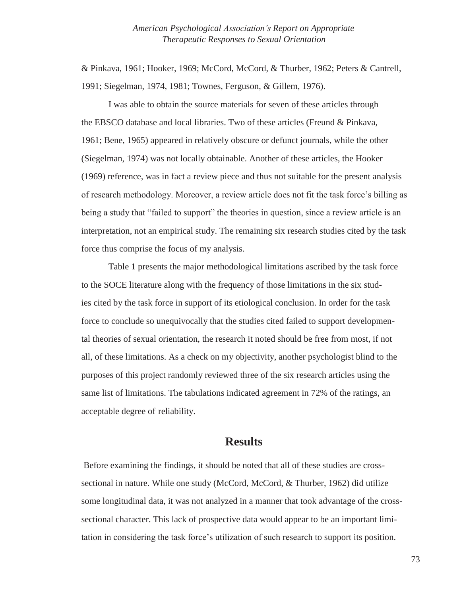& Pinkava, 1961; Hooker, 1969; McCord, McCord, & Thurber, 1962; Peters & Cantrell, 1991; Siegelman, 1974, 1981; Townes, Ferguson, & Gillem, 1976).

I was able to obtain the source materials for seven of these articles through the EBSCO database and local libraries. Two of these articles (Freund & Pinkava, 1961; Bene, 1965) appeared in relatively obscure or defunct journals, while the other (Siegelman, 1974) was not locally obtainable. Another of these articles, the Hooker (1969) reference, was in fact a review piece and thus not suitable for the present analysis of research methodology. Moreover, a review article does not fit the task force's billing as being a study that "failed to support" the theories in question, since a review article is an interpretation, not an empirical study. The remaining six research studies cited by the task force thus comprise the focus of my analysis.

Table 1 presents the major methodological limitations ascribed by the task force to the SOCE literature along with the frequency of those limitations in the six studies cited by the task force in support of its etiological conclusion. In order for the task force to conclude so unequivocally that the studies cited failed to support developmental theories of sexual orientation, the research it noted should be free from most, if not all, of these limitations. As a check on my objectivity, another psychologist blind to the purposes of this project randomly reviewed three of the six research articles using the same list of limitations. The tabulations indicated agreement in 72% of the ratings, an acceptable degree of reliability.

## **Results**

Before examining the findings, it should be noted that all of these studies are crosssectional in nature. While one study (McCord, McCord, & Thurber, 1962) did utilize some longitudinal data, it was not analyzed in a manner that took advantage of the crosssectional character. This lack of prospective data would appear to be an important limitation in considering the task force's utilization of such research to support its position.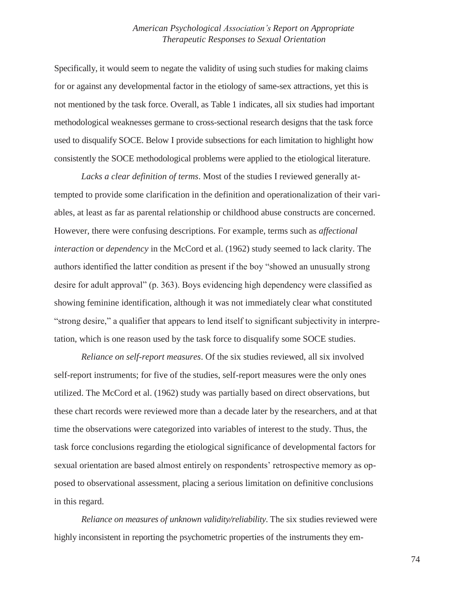Specifically, it would seem to negate the validity of using such studies for making claims for or against any developmental factor in the etiology of same-sex attractions, yet this is not mentioned by the task force. Overall, as Table 1 indicates, all six studies had important methodological weaknesses germane to cross-sectional research designs that the task force used to disqualify SOCE. Below I provide subsections for each limitation to highlight how consistently the SOCE methodological problems were applied to the etiological literature.

*Lacks a clear definition of terms*. Most of the studies I reviewed generally attempted to provide some clarification in the definition and operationalization of their variables, at least as far as parental relationship or childhood abuse constructs are concerned. However, there were confusing descriptions. For example, terms such as *affectional interaction* or *dependency* in the McCord et al. (1962) study seemed to lack clarity. The authors identified the latter condition as present if the boy "showed an unusually strong desire for adult approval" (p. 363). Boys evidencing high dependency were classified as showing feminine identification, although it was not immediately clear what constituted "strong desire," a qualifier that appears to lend itself to significant subjectivity in interpretation, which is one reason used by the task force to disqualify some SOCE studies.

*Reliance on self-report measures*. Of the six studies reviewed, all six involved self-report instruments; for five of the studies, self-report measures were the only ones utilized. The McCord et al. (1962) study was partially based on direct observations, but these chart records were reviewed more than a decade later by the researchers, and at that time the observations were categorized into variables of interest to the study. Thus, the task force conclusions regarding the etiological significance of developmental factors for sexual orientation are based almost entirely on respondents' retrospective memory as opposed to observational assessment, placing a serious limitation on definitive conclusions in this regard.

*Reliance on measures of unknown validity/reliability*. The six studies reviewed were highly inconsistent in reporting the psychometric properties of the instruments they em-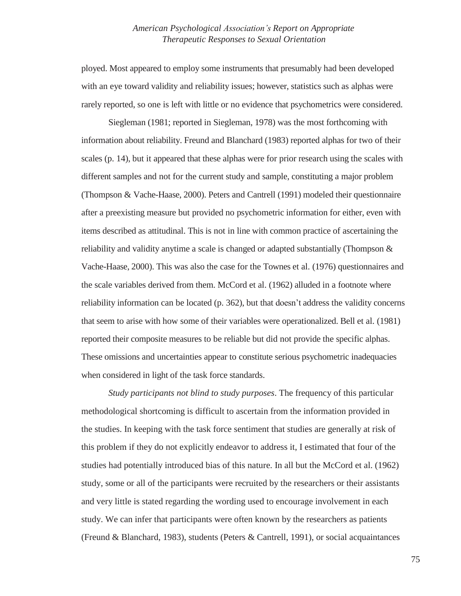ployed. Most appeared to employ some instruments that presumably had been developed with an eye toward validity and reliability issues; however, statistics such as alphas were rarely reported, so one is left with little or no evidence that psychometrics were considered.

Siegleman (1981; reported in Siegleman, 1978) was the most forthcoming with information about reliability. Freund and Blanchard (1983) reported alphas for two of their scales (p. 14), but it appeared that these alphas were for prior research using the scales with different samples and not for the current study and sample, constituting a major problem (Thompson & Vache-Haase, 2000). Peters and Cantrell (1991) modeled their questionnaire after a preexisting measure but provided no psychometric information for either, even with items described as attitudinal. This is not in line with common practice of ascertaining the reliability and validity anytime a scale is changed or adapted substantially (Thompson & Vache-Haase, 2000). This was also the case for the Townes et al. (1976) questionnaires and the scale variables derived from them. McCord et al. (1962) alluded in a footnote where reliability information can be located (p. 362), but that doesn't address the validity concerns that seem to arise with how some of their variables were operationalized. Bell et al. (1981) reported their composite measures to be reliable but did not provide the specific alphas. These omissions and uncertainties appear to constitute serious psychometric inadequacies when considered in light of the task force standards.

*Study participants not blind to study purposes*. The frequency of this particular methodological shortcoming is difficult to ascertain from the information provided in the studies. In keeping with the task force sentiment that studies are generally at risk of this problem if they do not explicitly endeavor to address it, I estimated that four of the studies had potentially introduced bias of this nature. In all but the McCord et al. (1962) study, some or all of the participants were recruited by the researchers or their assistants and very little is stated regarding the wording used to encourage involvement in each study. We can infer that participants were often known by the researchers as patients (Freund & Blanchard, 1983), students (Peters & Cantrell, 1991), or social acquaintances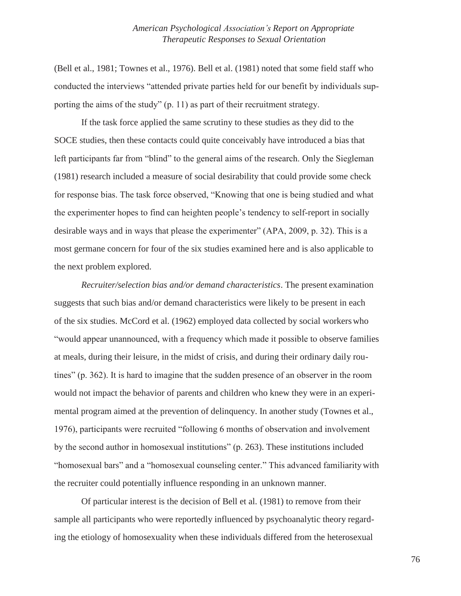(Bell et al., 1981; Townes et al., 1976). Bell et al. (1981) noted that some field staff who conducted the interviews "attended private parties held for our benefit by individuals supporting the aims of the study" (p. 11) as part of their recruitment strategy.

If the task force applied the same scrutiny to these studies as they did to the SOCE studies, then these contacts could quite conceivably have introduced a bias that left participants far from "blind" to the general aims of the research. Only the Siegleman (1981) research included a measure of social desirability that could provide some check for response bias. The task force observed, "Knowing that one is being studied and what the experimenter hopes to find can heighten people's tendency to self-report in socially desirable ways and in ways that please the experimenter" (APA, 2009, p. 32). This is a most germane concern for four of the six studies examined here and is also applicable to the next problem explored.

*Recruiter/selection bias and/or demand characteristics*. The present examination suggests that such bias and/or demand characteristics were likely to be present in each of the six studies. McCord et al. (1962) employed data collected by social workerswho "would appear unannounced, with a frequency which made it possible to observe families at meals, during their leisure, in the midst of crisis, and during their ordinary daily routines" (p. 362). It is hard to imagine that the sudden presence of an observer in the room would not impact the behavior of parents and children who knew they were in an experimental program aimed at the prevention of delinquency. In another study (Townes et al., 1976), participants were recruited "following 6 months of observation and involvement by the second author in homosexual institutions" (p. 263). These institutions included "homosexual bars" and a "homosexual counseling center." This advanced familiarity with the recruiter could potentially influence responding in an unknown manner.

Of particular interest is the decision of Bell et al. (1981) to remove from their sample all participants who were reportedly influenced by psychoanalytic theory regarding the etiology of homosexuality when these individuals differed from the heterosexual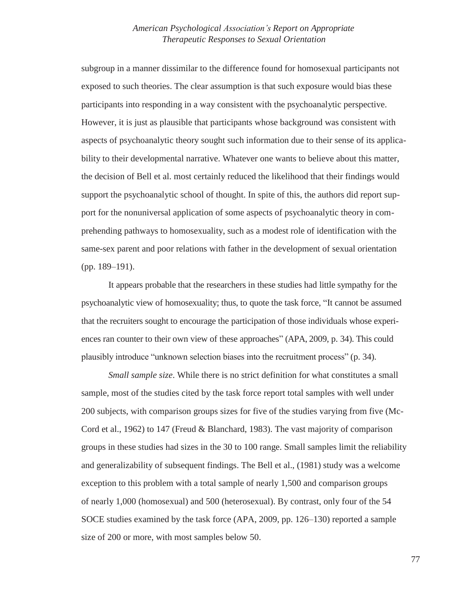subgroup in a manner dissimilar to the difference found for homosexual participants not exposed to such theories. The clear assumption is that such exposure would bias these participants into responding in a way consistent with the psychoanalytic perspective. However, it is just as plausible that participants whose background was consistent with aspects of psychoanalytic theory sought such information due to their sense of its applicability to their developmental narrative. Whatever one wants to believe about this matter, the decision of Bell et al. most certainly reduced the likelihood that their findings would support the psychoanalytic school of thought. In spite of this, the authors did report support for the nonuniversal application of some aspects of psychoanalytic theory in comprehending pathways to homosexuality, such as a modest role of identification with the same-sex parent and poor relations with father in the development of sexual orientation (pp. 189–191).

It appears probable that the researchers in these studies had little sympathy for the psychoanalytic view of homosexuality; thus, to quote the task force, "It cannot be assumed that the recruiters sought to encourage the participation of those individuals whose experiences ran counter to their own view of these approaches" (APA, 2009, p. 34). This could plausibly introduce "unknown selection biases into the recruitment process" (p. 34).

*Small sample size*. While there is no strict definition for what constitutes a small sample, most of the studies cited by the task force report total samples with well under 200 subjects, with comparison groups sizes for five of the studies varying from five (Mc-Cord et al., 1962) to 147 (Freud & Blanchard, 1983). The vast majority of comparison groups in these studies had sizes in the 30 to 100 range. Small samples limit the reliability and generalizability of subsequent findings. The Bell et al., (1981) study was a welcome exception to this problem with a total sample of nearly 1,500 and comparison groups of nearly 1,000 (homosexual) and 500 (heterosexual). By contrast, only four of the 54 SOCE studies examined by the task force (APA, 2009, pp. 126–130) reported a sample size of 200 or more, with most samples below 50.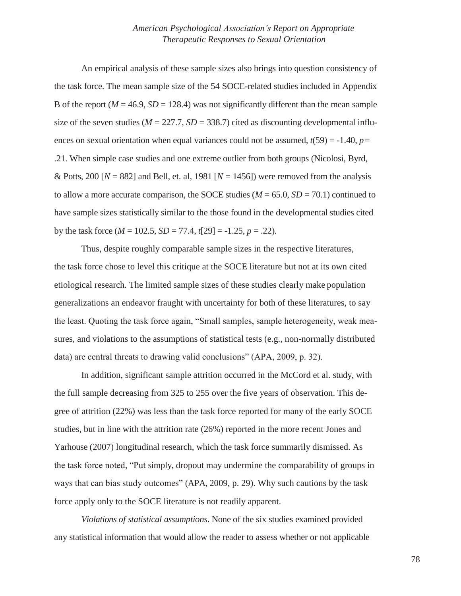An empirical analysis of these sample sizes also brings into question consistency of the task force. The mean sample size of the 54 SOCE-related studies included in Appendix B of the report ( $M = 46.9$ ,  $SD = 128.4$ ) was not significantly different than the mean sample size of the seven studies ( $M = 227.7$ ,  $SD = 338.7$ ) cited as discounting developmental influences on sexual orientation when equal variances could not be assumed,  $t(59) = -1.40$ ,  $p =$ .21. When simple case studies and one extreme outlier from both groups (Nicolosi, Byrd, & Potts, 200  $[N = 882]$  and Bell, et. al, 1981  $[N = 1456]$ ) were removed from the analysis to allow a more accurate comparison, the SOCE studies ( $M = 65.0$ ,  $SD = 70.1$ ) continued to have sample sizes statistically similar to the those found in the developmental studies cited by the task force  $(M = 102.5, SD = 77.4, t[29] = -1.25, p = .22)$ .

Thus, despite roughly comparable sample sizes in the respective literatures, the task force chose to level this critique at the SOCE literature but not at its own cited etiological research. The limited sample sizes of these studies clearly make population generalizations an endeavor fraught with uncertainty for both of these literatures, to say the least. Quoting the task force again, "Small samples, sample heterogeneity, weak measures, and violations to the assumptions of statistical tests (e.g., non-normally distributed data) are central threats to drawing valid conclusions" (APA, 2009, p. 32).

In addition, significant sample attrition occurred in the McCord et al. study, with the full sample decreasing from 325 to 255 over the five years of observation. This degree of attrition (22%) was less than the task force reported for many of the early SOCE studies, but in line with the attrition rate (26%) reported in the more recent Jones and Yarhouse (2007) longitudinal research, which the task force summarily dismissed. As the task force noted, "Put simply, dropout may undermine the comparability of groups in ways that can bias study outcomes" (APA, 2009, p. 29). Why such cautions by the task force apply only to the SOCE literature is not readily apparent.

*Violations of statistical assumptions*. None of the six studies examined provided any statistical information that would allow the reader to assess whether or not applicable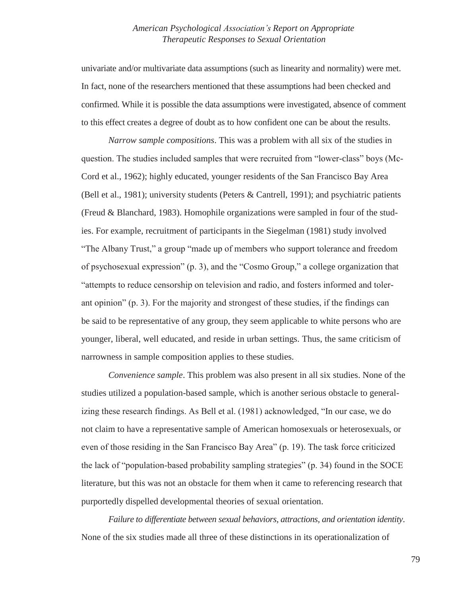univariate and/or multivariate data assumptions (such as linearity and normality) were met. In fact, none of the researchers mentioned that these assumptions had been checked and confirmed. While it is possible the data assumptions were investigated, absence of comment to this effect creates a degree of doubt as to how confident one can be about the results.

*Narrow sample compositions*. This was a problem with all six of the studies in question. The studies included samples that were recruited from "lower-class" boys (Mc-Cord et al., 1962); highly educated, younger residents of the San Francisco Bay Area (Bell et al., 1981); university students (Peters & Cantrell, 1991); and psychiatric patients (Freud & Blanchard, 1983). Homophile organizations were sampled in four of the studies. For example, recruitment of participants in the Siegelman (1981) study involved "The Albany Trust," a group "made up of members who support tolerance and freedom of psychosexual expression" (p. 3), and the "Cosmo Group," a college organization that "attempts to reduce censorship on television and radio, and fosters informed and tolerant opinion" (p. 3). For the majority and strongest of these studies, if the findings can be said to be representative of any group, they seem applicable to white persons who are younger, liberal, well educated, and reside in urban settings. Thus, the same criticism of narrowness in sample composition applies to these studies.

*Convenience sample*. This problem was also present in all six studies. None of the studies utilized a population-based sample, which is another serious obstacle to generalizing these research findings. As Bell et al. (1981) acknowledged, "In our case, we do not claim to have a representative sample of American homosexuals or heterosexuals, or even of those residing in the San Francisco Bay Area" (p. 19). The task force criticized the lack of "population-based probability sampling strategies" (p. 34) found in the SOCE literature, but this was not an obstacle for them when it came to referencing research that purportedly dispelled developmental theories of sexual orientation.

*Failure to differentiate between sexual behaviors, attractions, and orientation identity*. None of the six studies made all three of these distinctions in its operationalization of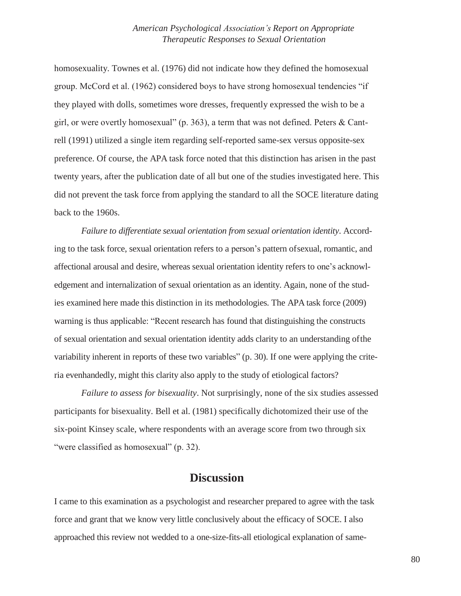homosexuality. Townes et al. (1976) did not indicate how they defined the homosexual group. McCord et al. (1962) considered boys to have strong homosexual tendencies "if they played with dolls, sometimes wore dresses, frequently expressed the wish to be a girl, or were overtly homosexual" (p. 363), a term that was not defined. Peters & Cantrell (1991) utilized a single item regarding self-reported same-sex versus opposite-sex preference. Of course, the APA task force noted that this distinction has arisen in the past twenty years, after the publication date of all but one of the studies investigated here. This did not prevent the task force from applying the standard to all the SOCE literature dating back to the 1960s.

*Failure to differentiate sexual orientation from sexual orientation identity*. According to the task force, sexual orientation refers to a person's pattern ofsexual, romantic, and affectional arousal and desire, whereas sexual orientation identity refers to one's acknowledgement and internalization of sexual orientation as an identity. Again, none of the studies examined here made this distinction in its methodologies. The APA task force (2009) warning is thus applicable: "Recent research has found that distinguishing the constructs of sexual orientation and sexual orientation identity adds clarity to an understanding ofthe variability inherent in reports of these two variables" (p. 30). If one were applying the criteria evenhandedly, might this clarity also apply to the study of etiological factors?

*Failure to assess for bisexuality*. Not surprisingly, none of the six studies assessed participants for bisexuality. Bell et al. (1981) specifically dichotomized their use of the six-point Kinsey scale, where respondents with an average score from two through six "were classified as homosexual" (p. 32).

## **Discussion**

I came to this examination as a psychologist and researcher prepared to agree with the task force and grant that we know very little conclusively about the efficacy of SOCE. I also approached this review not wedded to a one-size-fits-all etiological explanation of same-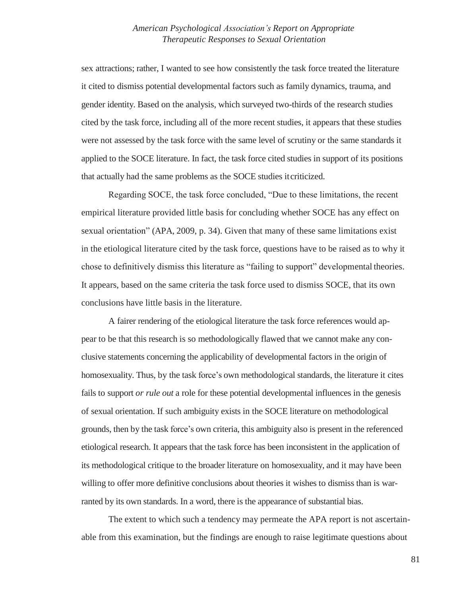sex attractions; rather, I wanted to see how consistently the task force treated the literature it cited to dismiss potential developmental factors such as family dynamics, trauma, and gender identity. Based on the analysis, which surveyed two-thirds of the research studies cited by the task force, including all of the more recent studies, it appears that these studies were not assessed by the task force with the same level of scrutiny or the same standards it applied to the SOCE literature. In fact, the task force cited studies in support of its positions that actually had the same problems as the SOCE studies itcriticized.

Regarding SOCE, the task force concluded, "Due to these limitations, the recent empirical literature provided little basis for concluding whether SOCE has any effect on sexual orientation" (APA, 2009, p. 34). Given that many of these same limitations exist in the etiological literature cited by the task force, questions have to be raised as to why it chose to definitively dismiss this literature as "failing to support" developmental theories. It appears, based on the same criteria the task force used to dismiss SOCE, that its own conclusions have little basis in the literature.

A fairer rendering of the etiological literature the task force references would appear to be that this research is so methodologically flawed that we cannot make any conclusive statements concerning the applicability of developmental factors in the origin of homosexuality. Thus, by the task force's own methodological standards, the literature it cites fails to support *or rule out* a role for these potential developmental influences in the genesis of sexual orientation. If such ambiguity exists in the SOCE literature on methodological grounds, then by the task force's own criteria, this ambiguity also is present in the referenced etiological research. It appears that the task force has been inconsistent in the application of its methodological critique to the broader literature on homosexuality, and it may have been willing to offer more definitive conclusions about theories it wishes to dismiss than is warranted by its own standards. In a word, there is the appearance of substantial bias.

The extent to which such a tendency may permeate the APA report is not ascertainable from this examination, but the findings are enough to raise legitimate questions about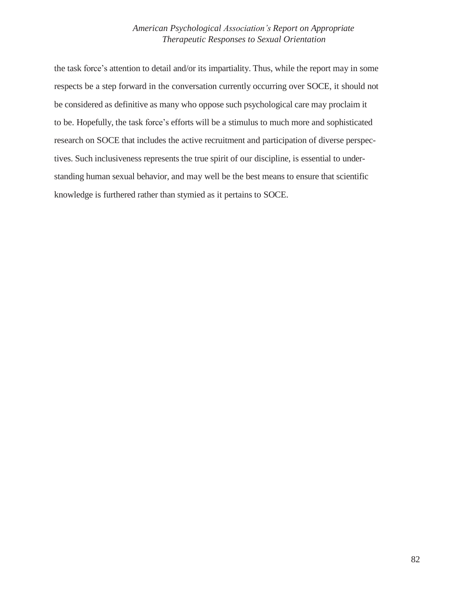the task force's attention to detail and/or its impartiality. Thus, while the report may in some respects be a step forward in the conversation currently occurring over SOCE, it should not be considered as definitive as many who oppose such psychological care may proclaim it to be. Hopefully, the task force's efforts will be a stimulus to much more and sophisticated research on SOCE that includes the active recruitment and participation of diverse perspectives. Such inclusiveness represents the true spirit of our discipline, is essential to understanding human sexual behavior, and may well be the best means to ensure that scientific knowledge is furthered rather than stymied as it pertains to SOCE.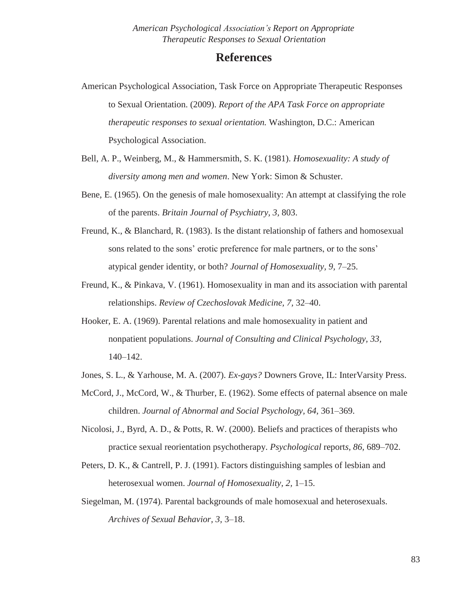## **References**

- American Psychological Association, Task Force on Appropriate Therapeutic Responses to Sexual Orientation. (2009). *Report of the APA Task Force on appropriate therapeutic responses to sexual orientation.* Washington, D.C.: American Psychological Association.
- Bell, A. P., Weinberg, M., & Hammersmith, S. K. (1981). *Homosexuality: A study of diversity among men and women*. New York: Simon & Schuster.
- Bene, E. (1965). On the genesis of male homosexuality: An attempt at classifying the role of the parents. *Britain Journal of Psychiatry, 3,* 803.
- Freund, K., & Blanchard, R. (1983). Is the distant relationship of fathers and homosexual sons related to the sons' erotic preference for male partners, or to the sons' atypical gender identity, or both? *Journal of Homosexuality, 9,* 7–25.
- Freund, K., & Pinkava, V. (1961). Homosexuality in man and its association with parental relationships. *Review of Czechoslovak Medicine, 7,* 32–40.
- Hooker, E. A. (1969). Parental relations and male homosexuality in patient and nonpatient populations. *Journal of Consulting and Clinical Psychology, 33,*  140–142.
- Jones, S. L., & Yarhouse, M. A. (2007). *Ex-gays?* Downers Grove, IL: InterVarsity Press.
- McCord, J., McCord, W., & Thurber, E. (1962). Some effects of paternal absence on male children. *Journal of Abnormal and Social Psychology, 64,* 361–369.
- Nicolosi, J., Byrd, A. D., & Potts, R. W. (2000). Beliefs and practices of therapists who practice sexual reorientation psychotherapy. *Psychological* report*s, 86,* 689–702.
- Peters, D. K., & Cantrell, P. J. (1991). Factors distinguishing samples of lesbian and heterosexual women. *Journal of Homosexuality, 2,* 1–15.
- Siegelman, M. (1974). Parental backgrounds of male homosexual and heterosexuals. *Archives of Sexual Behavior, 3,* 3–18.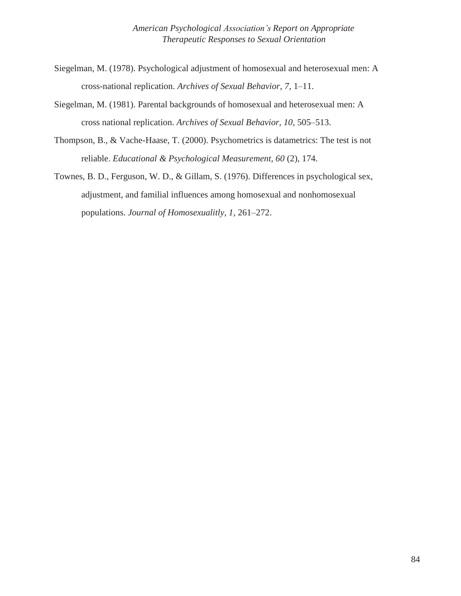- Siegelman, M. (1978). Psychological adjustment of homosexual and heterosexual men: A cross-national replication. *Archives of Sexual Behavior, 7,* 1–11.
- Siegelman, M. (1981). Parental backgrounds of homosexual and heterosexual men: A cross national replication. *Archives of Sexual Behavior, 10,* 505–513.
- Thompson, B., & Vache-Haase, T. (2000). Psychometrics is datametrics: The test is not reliable. *Educational & Psychological Measurement, 60* (2), 174.
- Townes, B. D., Ferguson, W. D., & Gillam, S. (1976). Differences in psychological sex, adjustment, and familial influences among homosexual and nonhomosexual populations. *Journal of Homosexualitly, 1,* 261–272.